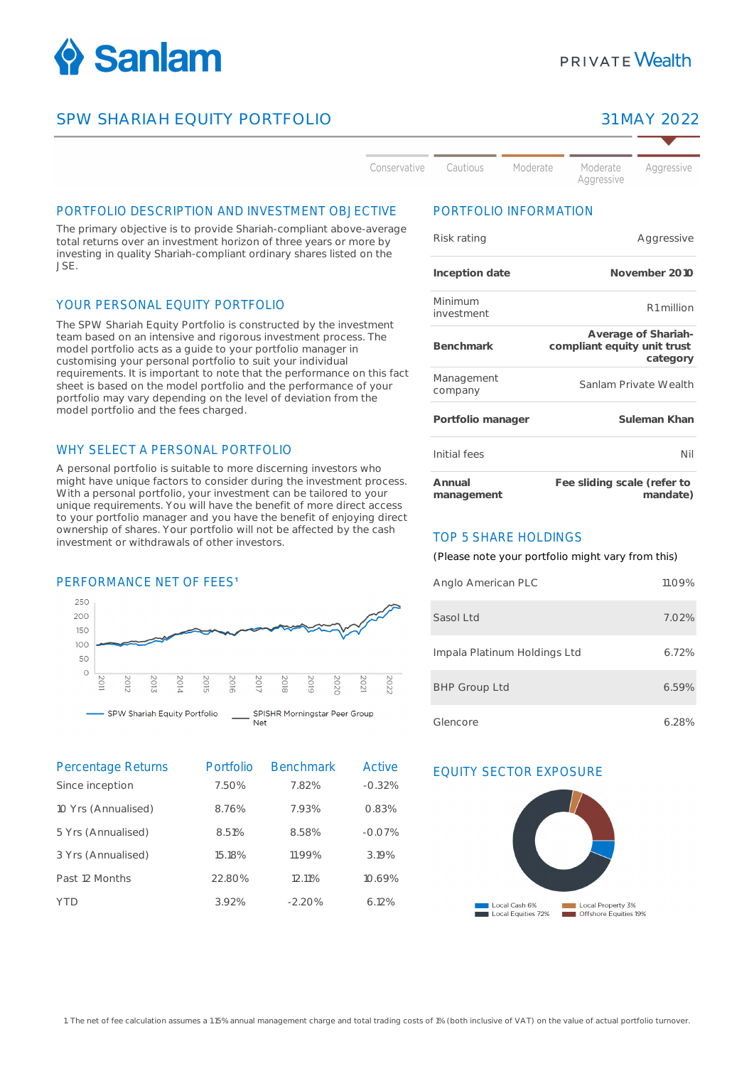

## SPW SHARIAH EQUITY PORTFOLIO 31 MAY 2022

Aaaressive

Conservative Cautious

Moderate Aggressive

# PORTFOLIO DESCRIPTION AND INVESTMENT OBJECTIVE

The primary objective is to provide Shariah-compliant above-average total returns over an investment horizon of three years or more by investing in quality Shariah-compliant ordinary shares listed on the JSE.

#### YOUR PERSONAL EQUITY PORTFOLIO

The SPW Shariah Equity Portfolio is constructed by the investment team based on an intensive and rigorous investment process. The model portfolio acts as a guide to your portfolio manager in customising your personal portfolio to suit your individual requirements. It is important to note that the performance on this fact sheet is based on the model portfolio and the performance of your portfolio may vary depending on the level of deviation from the model portfolio and the fees charged.

### WHY SELECT A PERSONAL PORTFOLIO

A personal portfolio is suitable to more discerning investors who might have unique factors to consider during the investment process. With a personal portfolio, your investment can be tailored to your unique requirements. You will have the benefit of more direct access to your portfolio manager and you have the benefit of enjoying direct ownership of shares. Your portfolio will not be affected by the cash investment or withdrawals of other investors.

#### PERFORMANCE NET OF FEES<sup>1</sup>



**Net** 

Percentage Returns Portfolio Benchmark Active EQUITY SECTOR EXPOSURE<br>
Since incention 250% 28% -0.32% Since inception 10 Yrs (Annualised) 8.76% 7.93% 0.83% 5 Yrs (Annualised) 8.51% 8.58% -0.07% 3 Yrs (Annualised) 15.18% 11.99% 3.19% Past 12 Months 22.80% 12.11% 10.69% YTD 3.92% -2.20% 6.12%

### PORTFOLIO INFORMATION

Moderate

| Risk rating           | Aggressive                                                     |
|-----------------------|----------------------------------------------------------------|
| Inception date        | November 2010                                                  |
| Minimum<br>investment | R1 million                                                     |
| Benchmark             | Average of Shariah-<br>compliant equity unit trust<br>category |
| Management<br>company | Sanlam Private Wealth                                          |
| Portfolio manager     | Suleman Khan                                                   |
| Initial fees          | Nil                                                            |
| Annual<br>management  | Fee sliding scale (refer to<br>mandate)                        |

### TOP 5 SHARE HOLDINGS

(Please note your portfolio might vary from this)

| Anglo American PLC           | 11.09% |
|------------------------------|--------|
| Sasol Ltd                    | 7.02%  |
| Impala Platinum Holdings Ltd | 6.72%  |
| <b>BHP Group Ltd</b>         | 6.59%  |
| Glencore                     | 6.28%  |